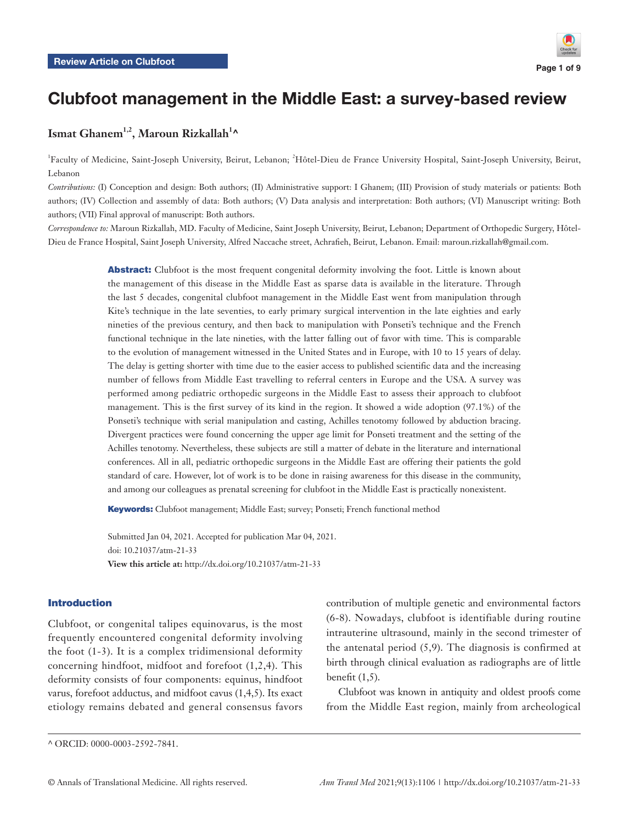

# Clubfoot management in the Middle East: a survey-based review

# **Ismat Ghanem1,2, Maroun Rizkallah1 ^**

<sup>1</sup>Faculty of Medicine, Saint-Joseph University, Beirut, Lebanon; <sup>2</sup>Hôtel-Dieu de France University Hospital, Saint-Joseph University, Beirut, Lebanon

*Contributions:* (I) Conception and design: Both authors; (II) Administrative support: I Ghanem; (III) Provision of study materials or patients: Both authors; (IV) Collection and assembly of data: Both authors; (V) Data analysis and interpretation: Both authors; (VI) Manuscript writing: Both authors; (VII) Final approval of manuscript: Both authors.

*Correspondence to:* Maroun Rizkallah, MD. Faculty of Medicine, Saint Joseph University, Beirut, Lebanon; Department of Orthopedic Surgery, Hôtel-Dieu de France Hospital, Saint Joseph University, Alfred Naccache street, Achrafieh, Beirut, Lebanon. Email: maroun.rizkallah@gmail.com.

> Abstract: Clubfoot is the most frequent congenital deformity involving the foot. Little is known about the management of this disease in the Middle East as sparse data is available in the literature. Through the last 5 decades, congenital clubfoot management in the Middle East went from manipulation through Kite's technique in the late seventies, to early primary surgical intervention in the late eighties and early nineties of the previous century, and then back to manipulation with Ponseti's technique and the French functional technique in the late nineties, with the latter falling out of favor with time. This is comparable to the evolution of management witnessed in the United States and in Europe, with 10 to 15 years of delay. The delay is getting shorter with time due to the easier access to published scientific data and the increasing number of fellows from Middle East travelling to referral centers in Europe and the USA. A survey was performed among pediatric orthopedic surgeons in the Middle East to assess their approach to clubfoot management. This is the first survey of its kind in the region. It showed a wide adoption (97.1%) of the Ponseti's technique with serial manipulation and casting, Achilles tenotomy followed by abduction bracing. Divergent practices were found concerning the upper age limit for Ponseti treatment and the setting of the Achilles tenotomy. Nevertheless, these subjects are still a matter of debate in the literature and international conferences. All in all, pediatric orthopedic surgeons in the Middle East are offering their patients the gold standard of care. However, lot of work is to be done in raising awareness for this disease in the community, and among our colleagues as prenatal screening for clubfoot in the Middle East is practically nonexistent.

Keywords: Clubfoot management; Middle East; survey; Ponseti; French functional method

Submitted Jan 04, 2021. Accepted for publication Mar 04, 2021. doi: 10.21037/atm-21-33 **View this article at:** http://dx.doi.org/10.21037/atm-21-33

#### Introduction

Clubfoot, or congenital talipes equinovarus, is the most frequently encountered congenital deformity involving the foot (1-3). It is a complex tridimensional deformity concerning hindfoot, midfoot and forefoot (1,2,4). This deformity consists of four components: equinus, hindfoot varus, forefoot adductus, and midfoot cavus (1,4,5). Its exact etiology remains debated and general consensus favors

Clubfoot was known in antiquity and oldest proofs come from the Middle East region, mainly from archeological

contribution of multiple genetic and environmental factors (6-8). Nowadays, clubfoot is identifiable during routine intrauterine ultrasound, mainly in the second trimester of the antenatal period  $(5,9)$ . The diagnosis is confirmed at birth through clinical evaluation as radiographs are of little benefit  $(1,5)$ .

<sup>^</sup> ORCID: 0000-0003-2592-7841.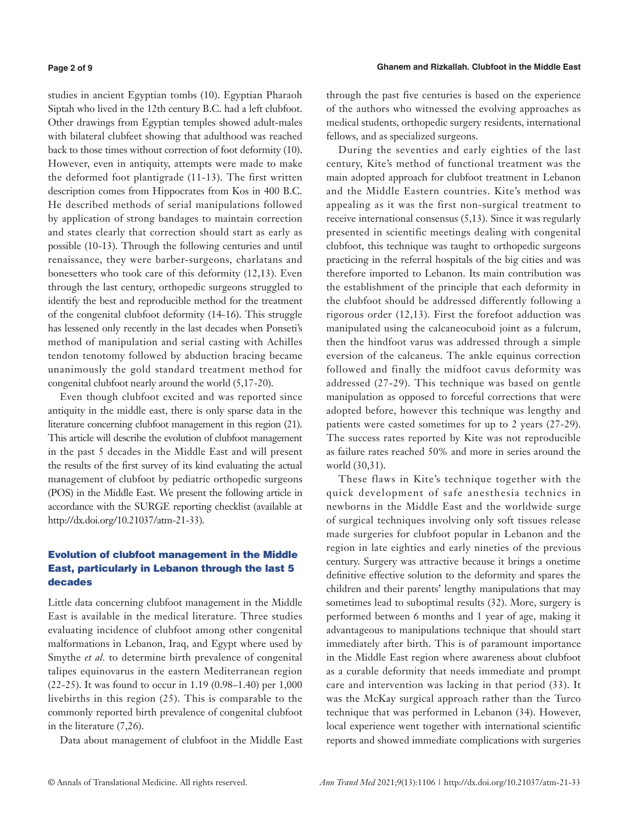studies in ancient Egyptian tombs (10). Egyptian Pharaoh Siptah who lived in the 12th century B.C. had a left clubfoot. Other drawings from Egyptian temples showed adult-males with bilateral clubfeet showing that adulthood was reached back to those times without correction of foot deformity (10). However, even in antiquity, attempts were made to make the deformed foot plantigrade (11-13). The first written description comes from Hippocrates from Kos in 400 B.C. He described methods of serial manipulations followed by application of strong bandages to maintain correction and states clearly that correction should start as early as possible (10-13). Through the following centuries and until renaissance, they were barber-surgeons, charlatans and bonesetters who took care of this deformity (12,13). Even through the last century, orthopedic surgeons struggled to identify the best and reproducible method for the treatment of the congenital clubfoot deformity (14-16). This struggle has lessened only recently in the last decades when Ponseti's method of manipulation and serial casting with Achilles tendon tenotomy followed by abduction bracing became unanimously the gold standard treatment method for congenital clubfoot nearly around the world (5,17-20).

Even though clubfoot excited and was reported since antiquity in the middle east, there is only sparse data in the literature concerning clubfoot management in this region (21). This article will describe the evolution of clubfoot management in the past 5 decades in the Middle East and will present the results of the first survey of its kind evaluating the actual management of clubfoot by pediatric orthopedic surgeons (POS) in the Middle East. We present the following article in accordance with the SURGE reporting checklist (available at http://dx.doi.org/10.21037/atm-21-33).

## Evolution of clubfoot management in the Middle East, particularly in Lebanon through the last 5 decades

Little data concerning clubfoot management in the Middle East is available in the medical literature. Three studies evaluating incidence of clubfoot among other congenital malformations in Lebanon, Iraq, and Egypt where used by Smythe *et al.* to determine birth prevalence of congenital talipes equinovarus in the eastern Mediterranean region (22-25). It was found to occur in 1.19 (0.98–1.40) per 1,000 livebirths in this region (25). This is comparable to the commonly reported birth prevalence of congenital clubfoot in the literature (7,26).

Data about management of clubfoot in the Middle East

through the past five centuries is based on the experience of the authors who witnessed the evolving approaches as medical students, orthopedic surgery residents, international fellows, and as specialized surgeons.

During the seventies and early eighties of the last century, Kite's method of functional treatment was the main adopted approach for clubfoot treatment in Lebanon and the Middle Eastern countries. Kite's method was appealing as it was the first non-surgical treatment to receive international consensus (5,13). Since it was regularly presented in scientific meetings dealing with congenital clubfoot, this technique was taught to orthopedic surgeons practicing in the referral hospitals of the big cities and was therefore imported to Lebanon. Its main contribution was the establishment of the principle that each deformity in the clubfoot should be addressed differently following a rigorous order (12,13). First the forefoot adduction was manipulated using the calcaneocuboid joint as a fulcrum, then the hindfoot varus was addressed through a simple eversion of the calcaneus. The ankle equinus correction followed and finally the midfoot cavus deformity was addressed (27-29). This technique was based on gentle manipulation as opposed to forceful corrections that were adopted before, however this technique was lengthy and patients were casted sometimes for up to 2 years (27-29). The success rates reported by Kite was not reproducible as failure rates reached 50% and more in series around the world (30,31).

These flaws in Kite's technique together with the quick development of safe anesthesia technics in newborns in the Middle East and the worldwide surge of surgical techniques involving only soft tissues release made surgeries for clubfoot popular in Lebanon and the region in late eighties and early nineties of the previous century. Surgery was attractive because it brings a onetime definitive effective solution to the deformity and spares the children and their parents' lengthy manipulations that may sometimes lead to suboptimal results (32). More, surgery is performed between 6 months and 1 year of age, making it advantageous to manipulations technique that should start immediately after birth. This is of paramount importance in the Middle East region where awareness about clubfoot as a curable deformity that needs immediate and prompt care and intervention was lacking in that period (33). It was the McKay surgical approach rather than the Turco technique that was performed in Lebanon (34). However, local experience went together with international scientific reports and showed immediate complications with surgeries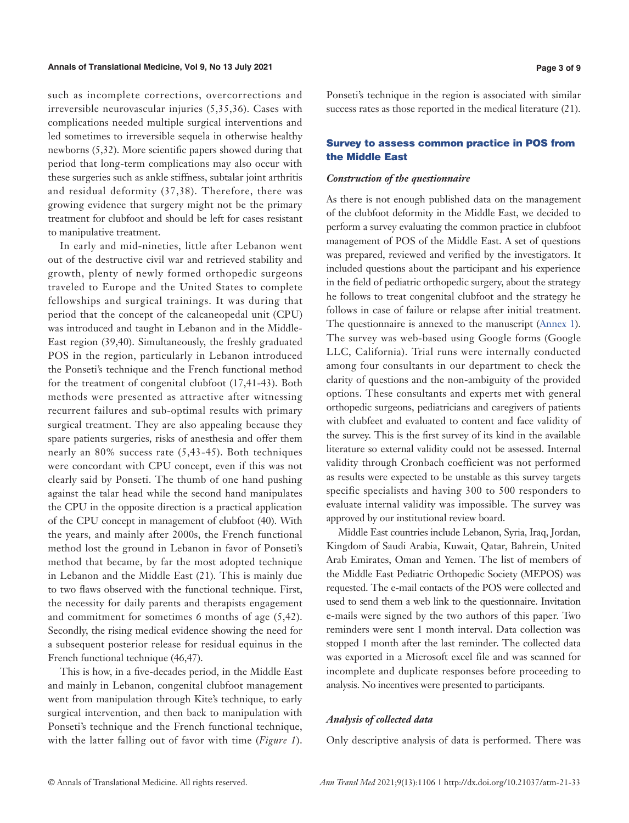such as incomplete corrections, overcorrections and irreversible neurovascular injuries (5,35,36). Cases with complications needed multiple surgical interventions and led sometimes to irreversible sequela in otherwise healthy newborns (5,32). More scientific papers showed during that period that long-term complications may also occur with these surgeries such as ankle stiffness, subtalar joint arthritis and residual deformity (37,38). Therefore, there was growing evidence that surgery might not be the primary treatment for clubfoot and should be left for cases resistant to manipulative treatment.

In early and mid-nineties, little after Lebanon went out of the destructive civil war and retrieved stability and growth, plenty of newly formed orthopedic surgeons traveled to Europe and the United States to complete fellowships and surgical trainings. It was during that period that the concept of the calcaneopedal unit (CPU) was introduced and taught in Lebanon and in the Middle-East region (39,40). Simultaneously, the freshly graduated POS in the region, particularly in Lebanon introduced the Ponseti's technique and the French functional method for the treatment of congenital clubfoot (17,41-43). Both methods were presented as attractive after witnessing recurrent failures and sub-optimal results with primary surgical treatment. They are also appealing because they spare patients surgeries, risks of anesthesia and offer them nearly an 80% success rate (5,43-45). Both techniques were concordant with CPU concept, even if this was not clearly said by Ponseti. The thumb of one hand pushing against the talar head while the second hand manipulates the CPU in the opposite direction is a practical application of the CPU concept in management of clubfoot (40). With the years, and mainly after 2000s, the French functional method lost the ground in Lebanon in favor of Ponseti's method that became, by far the most adopted technique in Lebanon and the Middle East (21). This is mainly due to two flaws observed with the functional technique. First, the necessity for daily parents and therapists engagement and commitment for sometimes 6 months of age (5,42). Secondly, the rising medical evidence showing the need for a subsequent posterior release for residual equinus in the French functional technique (46,47).

This is how, in a five-decades period, in the Middle East and mainly in Lebanon, congenital clubfoot management went from manipulation through Kite's technique, to early surgical intervention, and then back to manipulation with Ponseti's technique and the French functional technique, with the latter falling out of favor with time (*Figure 1*).

Ponseti's technique in the region is associated with similar success rates as those reported in the medical literature (21).

## Survey to assess common practice in POS from the Middle East

#### *Construction of the questionnaire*

As there is not enough published data on the management of the clubfoot deformity in the Middle East, we decided to perform a survey evaluating the common practice in clubfoot management of POS of the Middle East. A set of questions was prepared, reviewed and verified by the investigators. It included questions about the participant and his experience in the field of pediatric orthopedic surgery, about the strategy he follows to treat congenital clubfoot and the strategy he follows in case of failure or relapse after initial treatment. The questionnaire is annexed to the manuscript [\(Annex 1](https://cdn.amegroups.cn/static/public/ATM-2020-CF-13-Supplementary.pdf)). The survey was web-based using Google forms (Google LLC, California). Trial runs were internally conducted among four consultants in our department to check the clarity of questions and the non-ambiguity of the provided options. These consultants and experts met with general orthopedic surgeons, pediatricians and caregivers of patients with clubfeet and evaluated to content and face validity of the survey. This is the first survey of its kind in the available literature so external validity could not be assessed. Internal validity through Cronbach coefficient was not performed as results were expected to be unstable as this survey targets specific specialists and having 300 to 500 responders to evaluate internal validity was impossible. The survey was approved by our institutional review board.

Middle East countries include Lebanon, Syria, Iraq, Jordan, Kingdom of Saudi Arabia, Kuwait, Qatar, Bahrein, United Arab Emirates, Oman and Yemen. The list of members of the Middle East Pediatric Orthopedic Society (MEPOS) was requested. The e-mail contacts of the POS were collected and used to send them a web link to the questionnaire. Invitation e-mails were signed by the two authors of this paper. Two reminders were sent 1 month interval. Data collection was stopped 1 month after the last reminder. The collected data was exported in a Microsoft excel file and was scanned for incomplete and duplicate responses before proceeding to analysis. No incentives were presented to participants.

#### *Analysis of collected data*

Only descriptive analysis of data is performed. There was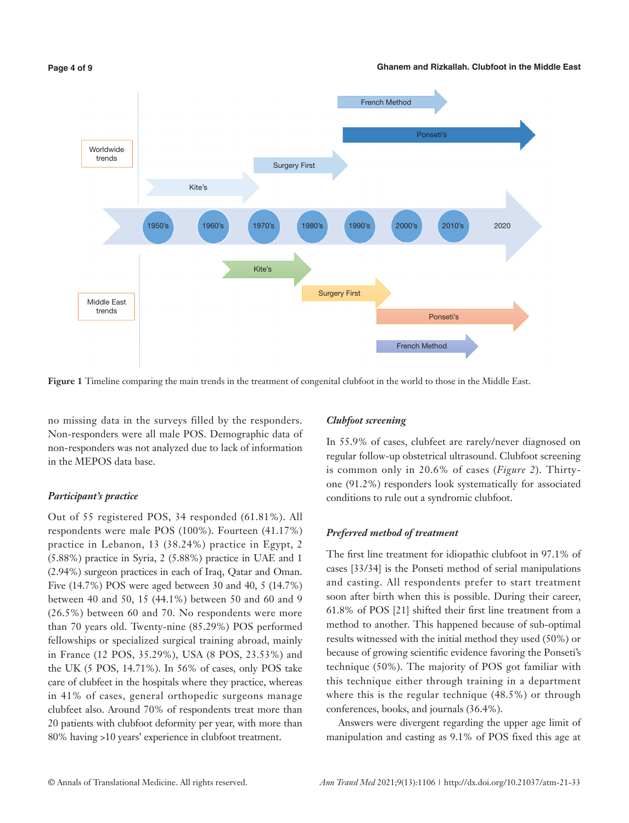**Ghanem and Rizkallah. Clubfoot in the Middle East**



**Figure 1** Timeline comparing the main trends in the treatment of congenital clubfoot in the world to those in the Middle East.

no missing data in the surveys filled by the responders. Non-responders were all male POS. Demographic data of non-responders was not analyzed due to lack of information in the MEPOS data base.

#### *Participant's practice*

Out of 55 registered POS, 34 responded (61.81%). All respondents were male POS (100%). Fourteen (41.17%) practice in Lebanon, 13 (38.24%) practice in Egypt, 2 (5.88%) practice in Syria, 2 (5.88%) practice in UAE and 1 (2.94%) surgeon practices in each of Iraq, Qatar and Oman. Five (14.7%) POS were aged between 30 and 40, 5 (14.7%) between 40 and 50, 15 (44.1%) between 50 and 60 and 9 (26.5%) between 60 and 70. No respondents were more than 70 years old. Twenty-nine (85.29%) POS performed fellowships or specialized surgical training abroad, mainly in France (12 POS, 35.29%), USA (8 POS, 23.53%) and the UK (5 POS, 14.71%). In 56% of cases, only POS take care of clubfeet in the hospitals where they practice, whereas in 41% of cases, general orthopedic surgeons manage clubfeet also. Around 70% of respondents treat more than 20 patients with clubfoot deformity per year, with more than 80% having >10 years' experience in clubfoot treatment.

## *Clubfoot screening*

In 55.9% of cases, clubfeet are rarely/never diagnosed on regular follow-up obstetrical ultrasound. Clubfoot screening is common only in 20.6% of cases (*Figure 2*). Thirtyone (91.2%) responders look systematically for associated conditions to rule out a syndromic clubfoot.

#### *Preferred method of treatment*

The first line treatment for idiopathic clubfoot in 97.1% of cases [33/34] is the Ponseti method of serial manipulations and casting. All respondents prefer to start treatment soon after birth when this is possible. During their career, 61.8% of POS [21] shifted their first line treatment from a method to another. This happened because of sub-optimal results witnessed with the initial method they used (50%) or because of growing scientific evidence favoring the Ponseti's technique (50%). The majority of POS got familiar with this technique either through training in a department where this is the regular technique (48.5%) or through conferences, books, and journals (36.4%).

Answers were divergent regarding the upper age limit of manipulation and casting as 9.1% of POS fixed this age at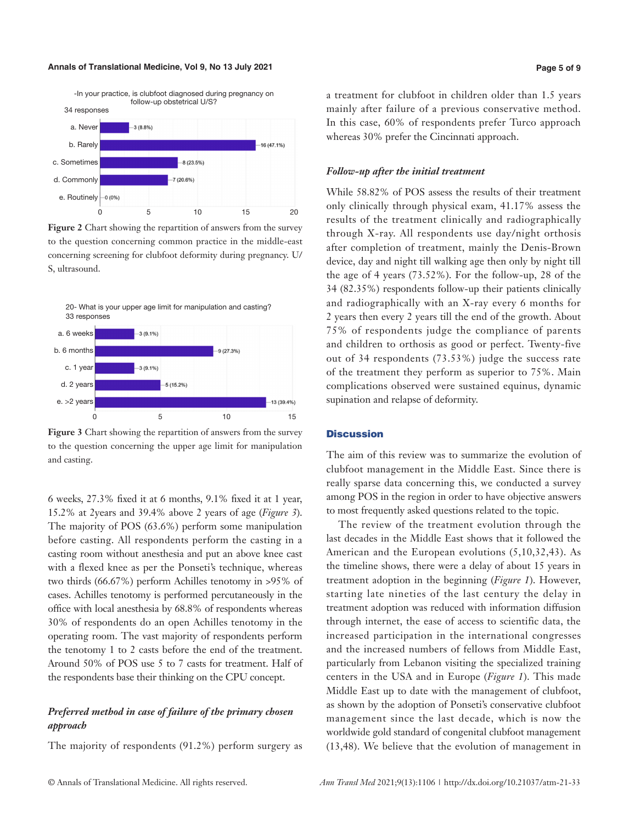#### **Annals of Translational Medicine, Vol 9, No 13 July 2021 Page 5 of 9**



**Figure 2** Chart showing the repartition of answers from the survey to the question concerning common practice in the middle-east concerning screening for clubfoot deformity during pregnancy. U/ S, ultrasound.



**Figure 3** Chart showing the repartition of answers from the survey to the question concerning the upper age limit for manipulation and casting.

6 weeks, 27.3% fixed it at 6 months, 9.1% fixed it at 1 year, 15.2% at 2years and 39.4% above 2 years of age (*Figure 3*). The majority of POS (63.6%) perform some manipulation before casting. All respondents perform the casting in a casting room without anesthesia and put an above knee cast with a flexed knee as per the Ponseti's technique, whereas two thirds (66.67%) perform Achilles tenotomy in >95% of cases. Achilles tenotomy is performed percutaneously in the office with local anesthesia by 68.8% of respondents whereas 30% of respondents do an open Achilles tenotomy in the operating room. The vast majority of respondents perform the tenotomy 1 to 2 casts before the end of the treatment. Around 50% of POS use 5 to 7 casts for treatment. Half of the respondents base their thinking on the CPU concept.

## *Preferred method in case of failure of the primary chosen approach*

The majority of respondents (91.2%) perform surgery as

a treatment for clubfoot in children older than 1.5 years mainly after failure of a previous conservative method. In this case, 60% of respondents prefer Turco approach whereas 30% prefer the Cincinnati approach.

#### *Follow-up after the initial treatment*

While 58.82% of POS assess the results of their treatment only clinically through physical exam, 41.17% assess the results of the treatment clinically and radiographically through X-ray. All respondents use day/night orthosis after completion of treatment, mainly the Denis-Brown device, day and night till walking age then only by night till the age of 4 years (73.52%). For the follow-up, 28 of the 34 (82.35%) respondents follow-up their patients clinically and radiographically with an X-ray every 6 months for 2 years then every 2 years till the end of the growth. About 75% of respondents judge the compliance of parents and children to orthosis as good or perfect. Twenty-five out of 34 respondents (73.53%) judge the success rate of the treatment they perform as superior to 75%. Main complications observed were sustained equinus, dynamic supination and relapse of deformity.

## **Discussion**

The aim of this review was to summarize the evolution of clubfoot management in the Middle East. Since there is really sparse data concerning this, we conducted a survey among POS in the region in order to have objective answers to most frequently asked questions related to the topic.

The review of the treatment evolution through the last decades in the Middle East shows that it followed the American and the European evolutions (5,10,32,43). As the timeline shows, there were a delay of about 15 years in treatment adoption in the beginning (*Figure 1*). However, starting late nineties of the last century the delay in treatment adoption was reduced with information diffusion through internet, the ease of access to scientific data, the increased participation in the international congresses and the increased numbers of fellows from Middle East, particularly from Lebanon visiting the specialized training centers in the USA and in Europe (*Figure 1*). This made Middle East up to date with the management of clubfoot, as shown by the adoption of Ponseti's conservative clubfoot management since the last decade, which is now the worldwide gold standard of congenital clubfoot management (13,48). We believe that the evolution of management in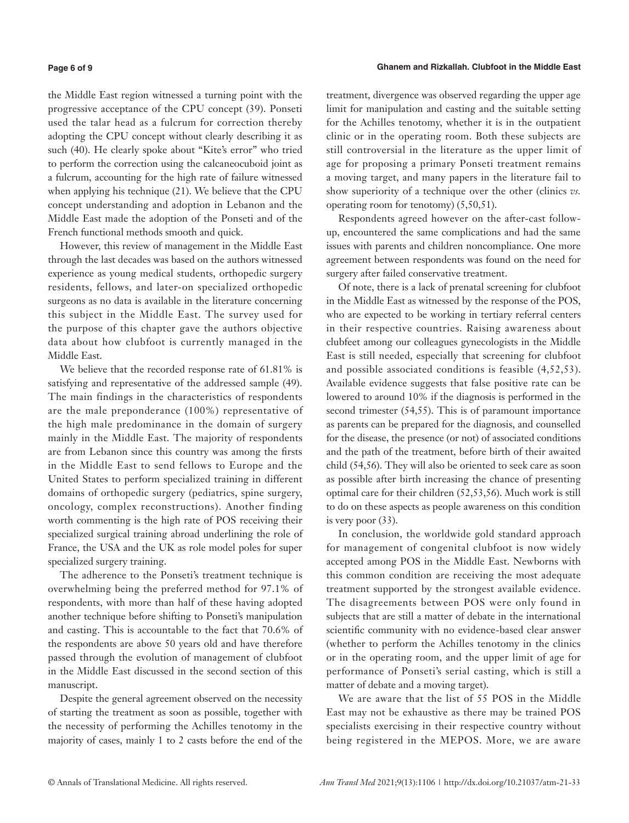#### **Page 6 of 9**

the Middle East region witnessed a turning point with the progressive acceptance of the CPU concept (39). Ponseti used the talar head as a fulcrum for correction thereby adopting the CPU concept without clearly describing it as such (40). He clearly spoke about "Kite's error" who tried to perform the correction using the calcaneocuboid joint as a fulcrum, accounting for the high rate of failure witnessed when applying his technique (21). We believe that the CPU concept understanding and adoption in Lebanon and the Middle East made the adoption of the Ponseti and of the French functional methods smooth and quick.

However, this review of management in the Middle East through the last decades was based on the authors witnessed experience as young medical students, orthopedic surgery residents, fellows, and later-on specialized orthopedic surgeons as no data is available in the literature concerning this subject in the Middle East. The survey used for the purpose of this chapter gave the authors objective data about how clubfoot is currently managed in the Middle East.

We believe that the recorded response rate of 61.81% is satisfying and representative of the addressed sample (49). The main findings in the characteristics of respondents are the male preponderance (100%) representative of the high male predominance in the domain of surgery mainly in the Middle East. The majority of respondents are from Lebanon since this country was among the firsts in the Middle East to send fellows to Europe and the United States to perform specialized training in different domains of orthopedic surgery (pediatrics, spine surgery, oncology, complex reconstructions). Another finding worth commenting is the high rate of POS receiving their specialized surgical training abroad underlining the role of France, the USA and the UK as role model poles for super specialized surgery training.

The adherence to the Ponseti's treatment technique is overwhelming being the preferred method for 97.1% of respondents, with more than half of these having adopted another technique before shifting to Ponseti's manipulation and casting. This is accountable to the fact that 70.6% of the respondents are above 50 years old and have therefore passed through the evolution of management of clubfoot in the Middle East discussed in the second section of this manuscript.

Despite the general agreement observed on the necessity of starting the treatment as soon as possible, together with the necessity of performing the Achilles tenotomy in the majority of cases, mainly 1 to 2 casts before the end of the

treatment, divergence was observed regarding the upper age limit for manipulation and casting and the suitable setting for the Achilles tenotomy, whether it is in the outpatient clinic or in the operating room. Both these subjects are still controversial in the literature as the upper limit of age for proposing a primary Ponseti treatment remains a moving target, and many papers in the literature fail to show superiority of a technique over the other (clinics *vs.* operating room for tenotomy) (5,50,51).

Respondents agreed however on the after-cast followup, encountered the same complications and had the same issues with parents and children noncompliance. One more agreement between respondents was found on the need for surgery after failed conservative treatment.

Of note, there is a lack of prenatal screening for clubfoot in the Middle East as witnessed by the response of the POS, who are expected to be working in tertiary referral centers in their respective countries. Raising awareness about clubfeet among our colleagues gynecologists in the Middle East is still needed, especially that screening for clubfoot and possible associated conditions is feasible (4,52,53). Available evidence suggests that false positive rate can be lowered to around 10% if the diagnosis is performed in the second trimester (54,55). This is of paramount importance as parents can be prepared for the diagnosis, and counselled for the disease, the presence (or not) of associated conditions and the path of the treatment, before birth of their awaited child (54,56). They will also be oriented to seek care as soon as possible after birth increasing the chance of presenting optimal care for their children (52,53,56). Much work is still to do on these aspects as people awareness on this condition is very poor (33).

In conclusion, the worldwide gold standard approach for management of congenital clubfoot is now widely accepted among POS in the Middle East. Newborns with this common condition are receiving the most adequate treatment supported by the strongest available evidence. The disagreements between POS were only found in subjects that are still a matter of debate in the international scientific community with no evidence-based clear answer (whether to perform the Achilles tenotomy in the clinics or in the operating room, and the upper limit of age for performance of Ponseti's serial casting, which is still a matter of debate and a moving target).

We are aware that the list of 55 POS in the Middle East may not be exhaustive as there may be trained POS specialists exercising in their respective country without being registered in the MEPOS. More, we are aware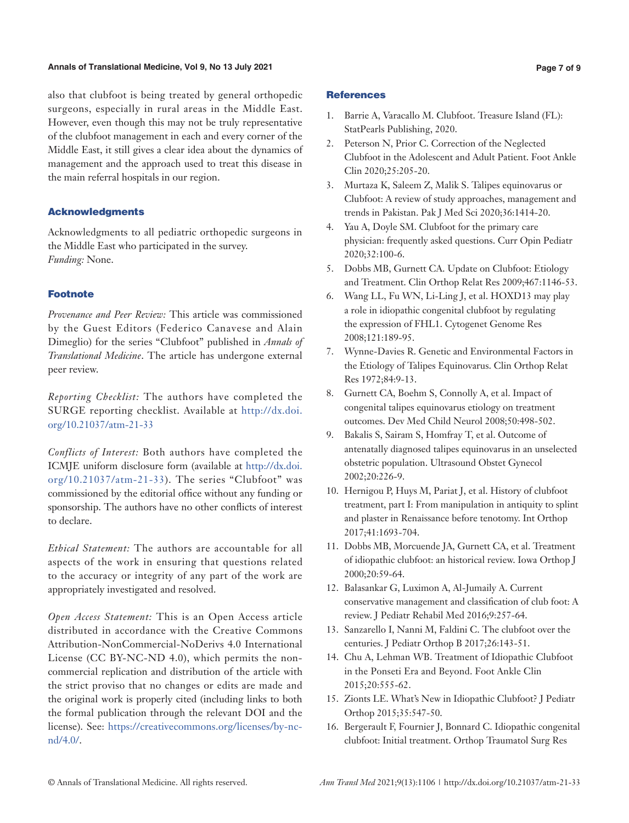#### **Annals of Translational Medicine, Vol 9, No 13 July 2021 Page 7 of 9**

also that clubfoot is being treated by general orthopedic surgeons, especially in rural areas in the Middle East. However, even though this may not be truly representative of the clubfoot management in each and every corner of the Middle East, it still gives a clear idea about the dynamics of management and the approach used to treat this disease in the main referral hospitals in our region.

## Acknowledgments

Acknowledgments to all pediatric orthopedic surgeons in the Middle East who participated in the survey. *Funding:* None.

## Footnote

*Provenance and Peer Review:* This article was commissioned by the Guest Editors (Federico Canavese and Alain Dimeglio) for the series "Clubfoot" published in *Annals of Translational Medicine*. The article has undergone external peer review.

*Reporting Checklist:* The authors have completed the SURGE reporting checklist. Available at [http://dx.doi.](http://dx.doi.org/10.21037/atm-21-33) [org/10.21037/atm-21-33](http://dx.doi.org/10.21037/atm-21-33)

*Conflicts of Interest:* Both authors have completed the ICMJE uniform disclosure form (available at [http://dx.doi.](http://dx.doi.org/10.21037/atm-21-33) [org/10.21037/atm-21-33](http://dx.doi.org/10.21037/atm-21-33)). The series "Clubfoot" was commissioned by the editorial office without any funding or sponsorship. The authors have no other conflicts of interest to declare.

*Ethical Statement:* The authors are accountable for all aspects of the work in ensuring that questions related to the accuracy or integrity of any part of the work are appropriately investigated and resolved.

*Open Access Statement:* This is an Open Access article distributed in accordance with the Creative Commons Attribution-NonCommercial-NoDerivs 4.0 International License (CC BY-NC-ND 4.0), which permits the noncommercial replication and distribution of the article with the strict proviso that no changes or edits are made and the original work is properly cited (including links to both the formal publication through the relevant DOI and the license). See: [https://creativecommons.org/licenses/by-nc](https://creativecommons.org/licenses/by-nc-nd/4.0/)[nd/4.0/](https://creativecommons.org/licenses/by-nc-nd/4.0/).

#### **References**

- 1. Barrie A, Varacallo M. Clubfoot. Treasure Island (FL): StatPearls Publishing, 2020.
- 2. Peterson N, Prior C. Correction of the Neglected Clubfoot in the Adolescent and Adult Patient. Foot Ankle Clin 2020;25:205-20.
- 3. Murtaza K, Saleem Z, Malik S. Talipes equinovarus or Clubfoot: A review of study approaches, management and trends in Pakistan. Pak J Med Sci 2020;36:1414-20.
- 4. Yau A, Doyle SM. Clubfoot for the primary care physician: frequently asked questions. Curr Opin Pediatr 2020;32:100-6.
- 5. Dobbs MB, Gurnett CA. Update on Clubfoot: Etiology and Treatment. Clin Orthop Relat Res 2009;467:1146-53.
- 6. Wang LL, Fu WN, Li-Ling J, et al. HOXD13 may play a role in idiopathic congenital clubfoot by regulating the expression of FHL1. Cytogenet Genome Res 2008;121:189-95.
- 7. Wynne-Davies R. Genetic and Environmental Factors in the Etiology of Talipes Equinovarus. Clin Orthop Relat Res 1972;84:9-13.
- 8. Gurnett CA, Boehm S, Connolly A, et al. Impact of congenital talipes equinovarus etiology on treatment outcomes. Dev Med Child Neurol 2008;50:498-502.
- 9. Bakalis S, Sairam S, Homfray T, et al. Outcome of antenatally diagnosed talipes equinovarus in an unselected obstetric population. Ultrasound Obstet Gynecol 2002;20:226-9.
- 10. Hernigou P, Huys M, Pariat J, et al. History of clubfoot treatment, part I: From manipulation in antiquity to splint and plaster in Renaissance before tenotomy. Int Orthop 2017;41:1693-704.
- 11. Dobbs MB, Morcuende JA, Gurnett CA, et al. Treatment of idiopathic clubfoot: an historical review. Iowa Orthop J 2000;20:59-64.
- 12. Balasankar G, Luximon A, Al-Jumaily A. Current conservative management and classification of club foot: A review. J Pediatr Rehabil Med 2016;9:257-64.
- 13. Sanzarello I, Nanni M, Faldini C. The clubfoot over the centuries. J Pediatr Orthop B 2017;26:143-51.
- 14. Chu A, Lehman WB. Treatment of Idiopathic Clubfoot in the Ponseti Era and Beyond. Foot Ankle Clin 2015;20:555-62.
- 15. Zionts LE. What's New in Idiopathic Clubfoot? J Pediatr Orthop 2015;35:547-50.
- 16. Bergerault F, Fournier J, Bonnard C. Idiopathic congenital clubfoot: Initial treatment. Orthop Traumatol Surg Res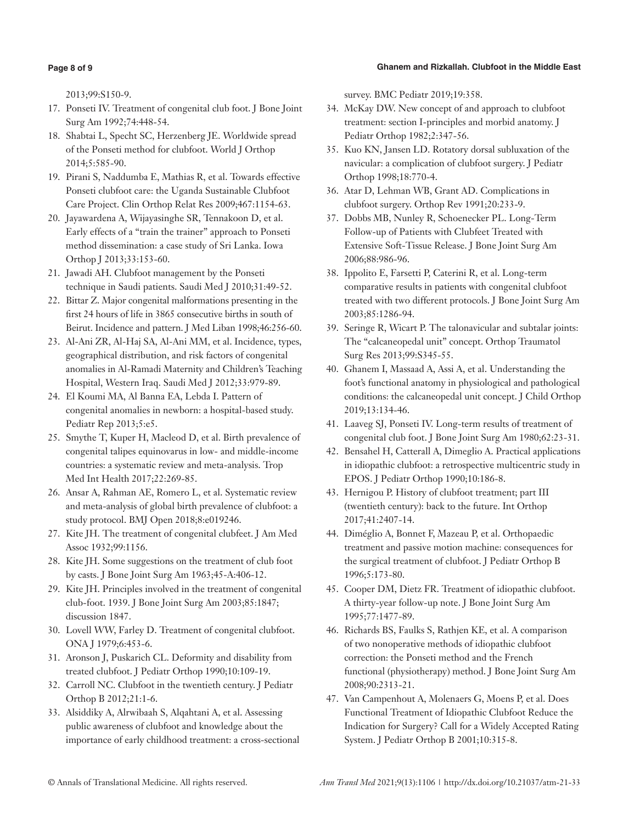#### **Ghanem and Rizkallah. Clubfoot in the Middle East**

## **Page 8 of 9**

2013;99:S150-9.

- 17. Ponseti IV. Treatment of congenital club foot. J Bone Joint Surg Am 1992;74:448-54.
- 18. Shabtai L, Specht SC, Herzenberg JE. Worldwide spread of the Ponseti method for clubfoot. World J Orthop 2014;5:585-90.
- 19. Pirani S, Naddumba E, Mathias R, et al. Towards effective Ponseti clubfoot care: the Uganda Sustainable Clubfoot Care Project. Clin Orthop Relat Res 2009;467:1154-63.
- 20. Jayawardena A, Wijayasinghe SR, Tennakoon D, et al. Early effects of a "train the trainer" approach to Ponseti method dissemination: a case study of Sri Lanka. Iowa Orthop J 2013;33:153-60.
- 21. Jawadi AH. Clubfoot management by the Ponseti technique in Saudi patients. Saudi Med J 2010;31:49-52.
- 22. Bittar Z. Major congenital malformations presenting in the first 24 hours of life in 3865 consecutive births in south of Beirut. Incidence and pattern. J Med Liban 1998;46:256-60.
- 23. Al-Ani ZR, Al-Haj SA, Al-Ani MM, et al. Incidence, types, geographical distribution, and risk factors of congenital anomalies in Al-Ramadi Maternity and Children's Teaching Hospital, Western Iraq. Saudi Med J 2012;33:979-89.
- 24. El Koumi MA, Al Banna EA, Lebda I. Pattern of congenital anomalies in newborn: a hospital-based study. Pediatr Rep 2013;5:e5.
- 25. Smythe T, Kuper H, Macleod D, et al. Birth prevalence of congenital talipes equinovarus in low- and middle-income countries: a systematic review and meta-analysis. Trop Med Int Health 2017;22:269-85.
- 26. Ansar A, Rahman AE, Romero L, et al. Systematic review and meta-analysis of global birth prevalence of clubfoot: a study protocol. BMJ Open 2018;8:e019246.
- 27. Kite JH. The treatment of congenital clubfeet. J Am Med Assoc 1932;99:1156.
- 28. Kite JH. Some suggestions on the treatment of club foot by casts. J Bone Joint Surg Am 1963;45-A:406-12.
- 29. Kite JH. Principles involved in the treatment of congenital club-foot. 1939. J Bone Joint Surg Am 2003;85:1847; discussion 1847.
- 30. Lovell WW, Farley D. Treatment of congenital clubfoot. ONA J 1979;6:453-6.
- 31. Aronson J, Puskarich CL. Deformity and disability from treated clubfoot. J Pediatr Orthop 1990;10:109-19.
- 32. Carroll NC. Clubfoot in the twentieth century. J Pediatr Orthop B 2012;21:1-6.
- 33. Alsiddiky A, Alrwibaah S, Alqahtani A, et al. Assessing public awareness of clubfoot and knowledge about the importance of early childhood treatment: a cross-sectional

survey. BMC Pediatr 2019;19:358.

- 34. McKay DW. New concept of and approach to clubfoot treatment: section I-principles and morbid anatomy. J Pediatr Orthop 1982;2:347-56.
- 35. Kuo KN, Jansen LD. Rotatory dorsal subluxation of the navicular: a complication of clubfoot surgery. J Pediatr Orthop 1998;18:770-4.
- 36. Atar D, Lehman WB, Grant AD. Complications in clubfoot surgery. Orthop Rev 1991;20:233-9.
- 37. Dobbs MB, Nunley R, Schoenecker PL. Long-Term Follow-up of Patients with Clubfeet Treated with Extensive Soft-Tissue Release. J Bone Joint Surg Am 2006;88:986-96.
- 38. Ippolito E, Farsetti P, Caterini R, et al. Long-term comparative results in patients with congenital clubfoot treated with two different protocols. J Bone Joint Surg Am 2003;85:1286-94.
- 39. Seringe R, Wicart P. The talonavicular and subtalar joints: The "calcaneopedal unit" concept. Orthop Traumatol Surg Res 2013;99:S345-55.
- 40. Ghanem I, Massaad A, Assi A, et al. Understanding the foot's functional anatomy in physiological and pathological conditions: the calcaneopedal unit concept. J Child Orthop 2019;13:134-46.
- 41. Laaveg SJ, Ponseti IV. Long-term results of treatment of congenital club foot. J Bone Joint Surg Am 1980;62:23-31.
- 42. Bensahel H, Catterall A, Dimeglio A. Practical applications in idiopathic clubfoot: a retrospective multicentric study in EPOS. J Pediatr Orthop 1990;10:186-8.
- 43. Hernigou P. History of clubfoot treatment; part III (twentieth century): back to the future. Int Orthop 2017;41:2407-14.
- 44. Diméglio A, Bonnet F, Mazeau P, et al. Orthopaedic treatment and passive motion machine: consequences for the surgical treatment of clubfoot. J Pediatr Orthop B 1996;5:173-80.
- 45. Cooper DM, Dietz FR. Treatment of idiopathic clubfoot. A thirty-year follow-up note. J Bone Joint Surg Am 1995;77:1477-89.
- 46. Richards BS, Faulks S, Rathjen KE, et al. A comparison of two nonoperative methods of idiopathic clubfoot correction: the Ponseti method and the French functional (physiotherapy) method. J Bone Joint Surg Am 2008;90:2313-21.
- 47. Van Campenhout A, Molenaers G, Moens P, et al. Does Functional Treatment of Idiopathic Clubfoot Reduce the Indication for Surgery? Call for a Widely Accepted Rating System. J Pediatr Orthop B 2001;10:315-8.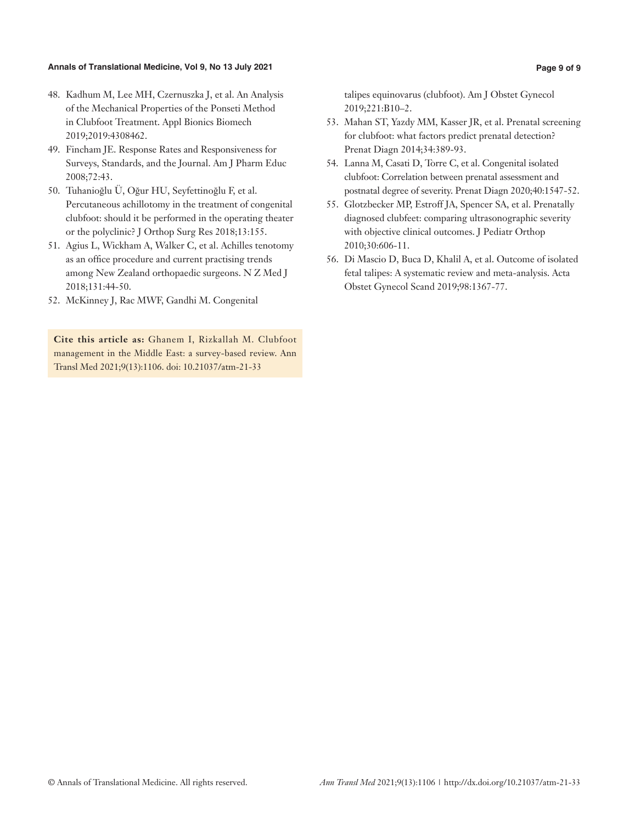#### **Annals of Translational Medicine, Vol 9, No 13 July 2021 Page 9 of 9**

- 48. Kadhum M, Lee MH, Czernuszka J, et al. An Analysis of the Mechanical Properties of the Ponseti Method in Clubfoot Treatment. Appl Bionics Biomech 2019;2019:4308462.
- 49. Fincham JE. Response Rates and Responsiveness for Surveys, Standards, and the Journal. Am J Pharm Educ 2008;72:43.
- 50. Tuhanioğlu Ü, Oğur HU, Seyfettinoğlu F, et al. Percutaneous achillotomy in the treatment of congenital clubfoot: should it be performed in the operating theater or the polyclinic? J Orthop Surg Res 2018;13:155.
- 51. Agius L, Wickham A, Walker C, et al. Achilles tenotomy as an office procedure and current practising trends among New Zealand orthopaedic surgeons. N Z Med J 2018;131:44-50.
- 52. McKinney J, Rac MWF, Gandhi M. Congenital

**Cite this article as:** Ghanem I, Rizkallah M. Clubfoot management in the Middle East: a survey-based review. Ann Transl Med 2021;9(13):1106. doi: 10.21037/atm-21-33

talipes equinovarus (clubfoot). Am J Obstet Gynecol 2019;221:B10–2.

- 53. Mahan ST, Yazdy MM, Kasser JR, et al. Prenatal screening for clubfoot: what factors predict prenatal detection? Prenat Diagn 2014;34:389-93.
- 54. Lanna M, Casati D, Torre C, et al. Congenital isolated clubfoot: Correlation between prenatal assessment and postnatal degree of severity. Prenat Diagn 2020;40:1547-52.
- 55. Glotzbecker MP, Estroff JA, Spencer SA, et al. Prenatally diagnosed clubfeet: comparing ultrasonographic severity with objective clinical outcomes. J Pediatr Orthop 2010;30:606-11.
- 56. Di Mascio D, Buca D, Khalil A, et al. Outcome of isolated fetal talipes: A systematic review and meta-analysis. Acta Obstet Gynecol Scand 2019;98:1367-77.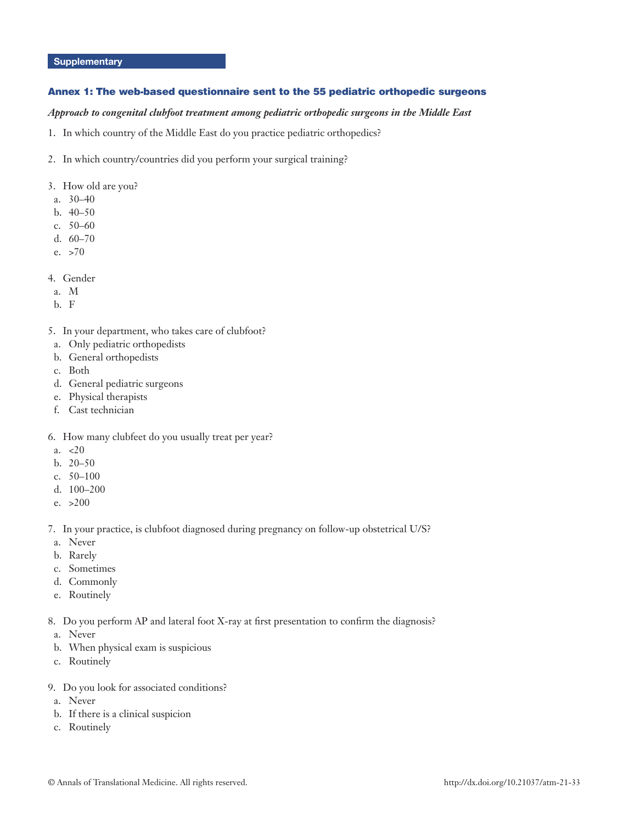## **Supplementary**

## Annex 1: The web-based questionnaire sent to the 55 pediatric orthopedic surgeons

## *Approach to congenital clubfoot treatment among pediatric orthopedic surgeons in the Middle East*

1. In which country of the Middle East do you practice pediatric orthopedics?

- 2. In which country/countries did you perform your surgical training?
- 3. How old are you?
- a. 30–40
- b. 40–50
- c. 50–60
- d. 60–70
- e. >70
- 4. Gender
- a. M
- b. F
- 5. In your department, who takes care of clubfoot?
- a. Only pediatric orthopedists
- b. General orthopedists
- c. Both
- d. General pediatric surgeons
- e. Physical therapists
- f. Cast technician
- 6. How many clubfeet do you usually treat per year?
- a.  $< 20$
- b. 20–50
- c. 50–100
- d. 100–200
- e. >200
- 7. In your practice, is clubfoot diagnosed during pregnancy on follow-up obstetrical U/S?
- a. Never
- b. Rarely
- c. Sometimes
- d. Commonly
- e. Routinely
- 8. Do you perform AP and lateral foot X-ray at first presentation to confirm the diagnosis?
- a. Never
- b. When physical exam is suspicious
- c. Routinely
- 9. Do you look for associated conditions?
- a. Never
- b. If there is a clinical suspicion
- c. Routinely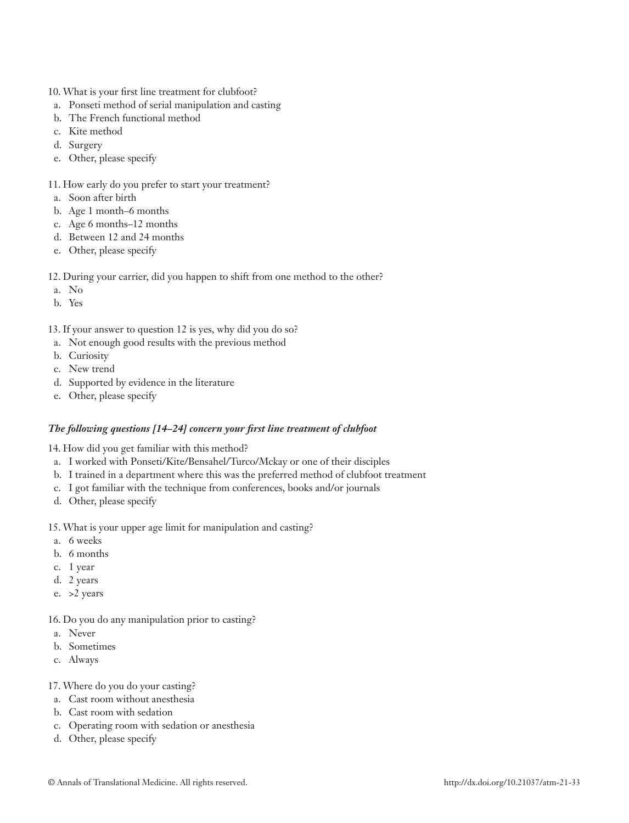- 10. What is your first line treatment for clubfoot?
- a. Ponseti method of serial manipulation and casting
- b. The French functional method
- c. Kite method
- d. Surgery
- e. Other, please specify
- 11. How early do you prefer to start your treatment?
- a. Soon after birth
- b. Age 1 month–6 months
- c. Age 6 months–12 months
- d. Between 12 and 24 months
- e. Other, please specify
- 12. During your carrier, did you happen to shift from one method to the other?
- a. No
- b. Yes
- 13. If your answer to question 12 is yes, why did you do so?
- a. Not enough good results with the previous method
- b. Curiosity
- c. New trend
- d. Supported by evidence in the literature
- e. Other, please specify

## *The following questions [14–24] concern your first line treatment of clubfoot*

14. How did you get familiar with this method?

- a. I worked with Ponseti/Kite/Bensahel/Turco/Mckay or one of their disciples
- b. I trained in a department where this was the preferred method of clubfoot treatment
- c. I got familiar with the technique from conferences, books and/or journals
- d. Other, please specify
- 15. What is your upper age limit for manipulation and casting?
- a. 6 weeks
- b. 6 months
- c. 1 year
- d. 2 years
- e. >2 years

## 16. Do you do any manipulation prior to casting?

- a. Never
- b. Sometimes
- c. Always
- 17. Where do you do your casting?
- a. Cast room without anesthesia
- b. Cast room with sedation
- c. Operating room with sedation or anesthesia
- d. Other, please specify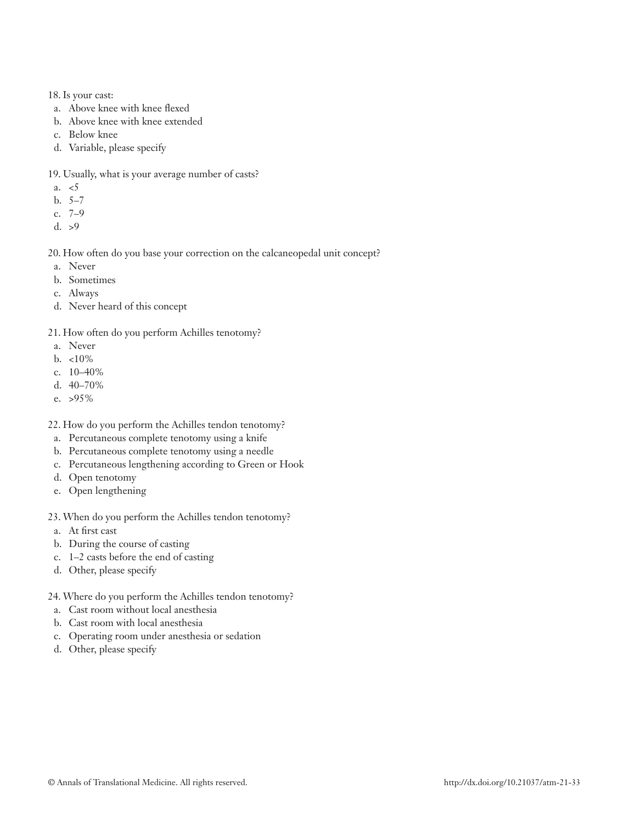## 18. Is your cast:

- a. Above knee with knee flexed
- b. Above knee with knee extended
- c. Below knee
- d. Variable, please specify

19. Usually, what is your average number of casts?

- a.  $\lt 5$
- b. 5–7
- c. 7–9
- d. >9

20. How often do you base your correction on the calcaneopedal unit concept?

- a. Never
- b. Sometimes
- c. Always
- d. Never heard of this concept
- 21. How often do you perform Achilles tenotomy?
- a. Never
- b. <10%
- c. 10–40%
- d. 40–70%
- e. >95%
- 22. How do you perform the Achilles tendon tenotomy?
- a. Percutaneous complete tenotomy using a knife
- b. Percutaneous complete tenotomy using a needle
- c. Percutaneous lengthening according to Green or Hook
- d. Open tenotomy
- e. Open lengthening
- 23. When do you perform the Achilles tendon tenotomy?
- a. At first cast
- b. During the course of casting
- c. 1–2 casts before the end of casting
- d. Other, please specify
- 24. Where do you perform the Achilles tendon tenotomy?
- a. Cast room without local anesthesia
- b. Cast room with local anesthesia
- c. Operating room under anesthesia or sedation
- d. Other, please specify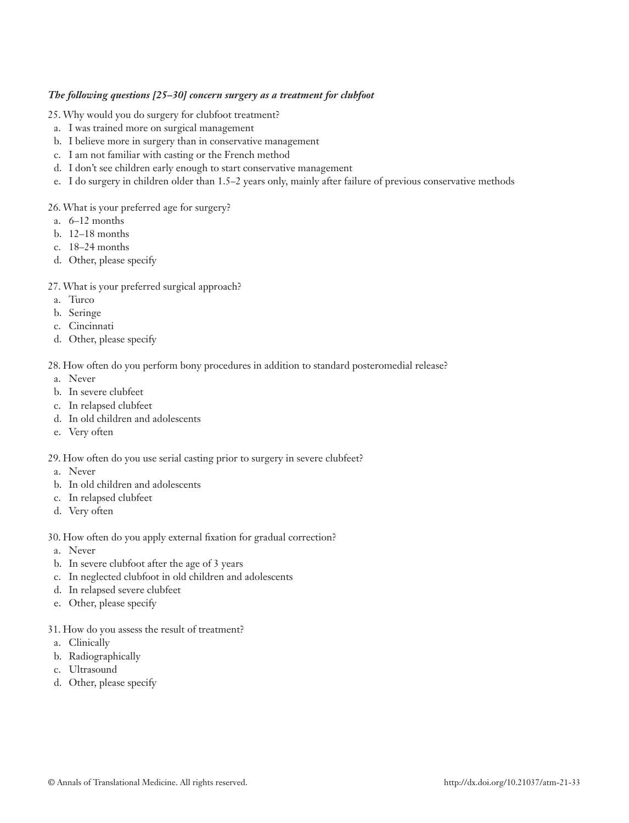## *The following questions [25–30] concern surgery as a treatment for clubfoot*

## 25. Why would you do surgery for clubfoot treatment?

- a. I was trained more on surgical management
- b. I believe more in surgery than in conservative management
- c. I am not familiar with casting or the French method
- d. I don't see children early enough to start conservative management
- e. I do surgery in children older than 1.5–2 years only, mainly after failure of previous conservative methods

## 26. What is your preferred age for surgery?

- a. 6–12 months
- b. 12–18 months
- c. 18–24 months
- d. Other, please specify

## 27. What is your preferred surgical approach?

- a. Turco
- b. Seringe
- c. Cincinnati
- d. Other, please specify

## 28. How often do you perform bony procedures in addition to standard posteromedial release?

- a. Never
- b. In severe clubfeet
- c. In relapsed clubfeet
- d. In old children and adolescents
- e. Very often

## 29. How often do you use serial casting prior to surgery in severe clubfeet?

- a. Never
- b. In old children and adolescents
- c. In relapsed clubfeet
- d. Very often

## 30. How often do you apply external fixation for gradual correction?

- a. Never
- b. In severe clubfoot after the age of 3 years
- c. In neglected clubfoot in old children and adolescents
- d. In relapsed severe clubfeet
- e. Other, please specify
- 31. How do you assess the result of treatment?
- a. Clinically
- b. Radiographically
- c. Ultrasound
- d. Other, please specify